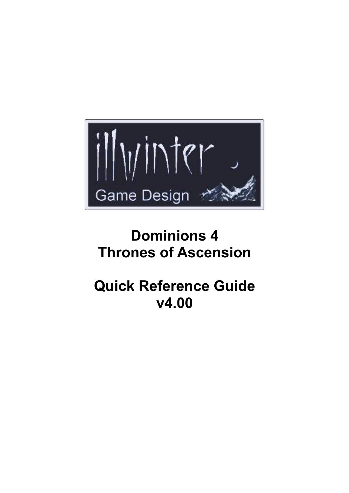

# **Dominions 4 Thrones of Ascension**

# **Quick Reference Guide v4.00**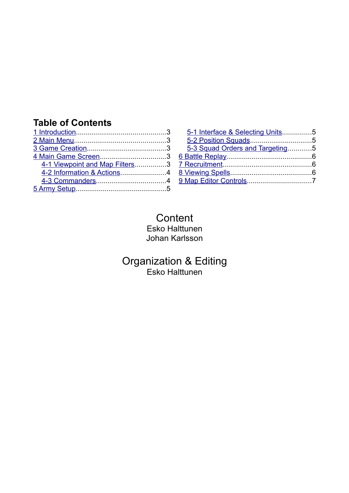## **Table of Contents**

| 4-1 Viewpoint and Map Filters3 |  |
|--------------------------------|--|
|                                |  |
|                                |  |
|                                |  |

| 5-1 Interface & Selecting Units5 |  |
|----------------------------------|--|
|                                  |  |
| 5-3 Squad Orders and Targeting5  |  |
|                                  |  |
|                                  |  |
|                                  |  |
|                                  |  |
|                                  |  |

**Content** Esko Halttunen Johan Karlsson

Organization & Editing Esko Halttunen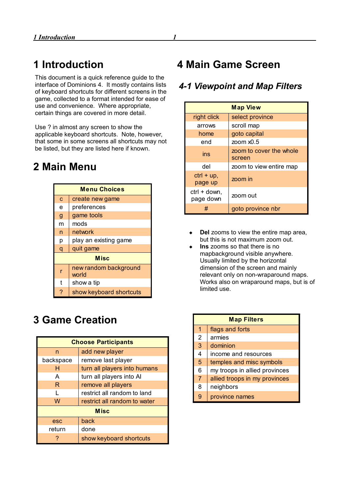# <span id="page-2-0"></span>**1 Introduction**

This document is a quick reference guide to the interface of Dominions 4. It mostly contains lists of keyboard shortcuts for different screens in the game, collected to a format intended for ease of use and convenience. Where appropriate, certain things are covered in more detail.

Use ? in almost any screen to show the applicable keyboard shortcuts. Note, however, that some in some screens all shortcuts may not be listed, but they are listed here if known.

## <span id="page-2-4"></span>**2 Main Menu**

| <b>Menu Choices</b> |                                |  |
|---------------------|--------------------------------|--|
| $\overline{c}$      | create new game                |  |
| e                   | preferences                    |  |
| $\mathbf{g}$        | game tools                     |  |
| m                   | mods                           |  |
| n                   | network                        |  |
| р                   | play an existing game          |  |
| q                   | quit game                      |  |
| <b>Misc</b>         |                                |  |
| r                   | new random background<br>world |  |
| t                   | show a tip                     |  |
| ?                   | show keyboard shortcuts        |  |

# <span id="page-2-3"></span>**3 Game Creation**

| <b>Choose Participants</b> |                              |  |
|----------------------------|------------------------------|--|
| n                          | add new player               |  |
| backspace                  | remove last player           |  |
| н                          | turn all players into humans |  |
| A                          | turn all players into Al     |  |
| R.                         | remove all players           |  |
|                            | restrict all random to land  |  |
| W                          | restrict all random to water |  |
| <b>Misc</b>                |                              |  |
| esc                        | back                         |  |
| return                     | done                         |  |
|                            | show keyboard shortcuts      |  |

## <span id="page-2-2"></span>**4 Main Game Screen**

#### <span id="page-2-1"></span>*4-1 Viewpoint and Map Filters*

| <b>Map View</b>           |                                   |
|---------------------------|-----------------------------------|
| right click               | select province                   |
| arrows                    | scroll map                        |
| home                      | goto capital                      |
| end                       | zoom $x0.5$                       |
| ins                       | zoom to cover the whole<br>screen |
| del                       | zoom to view entire map           |
| $ctrl + up$ ,<br>page up  | zoom in                           |
| ctrl + down,<br>page down | zoom out                          |
|                           | goto province nbr                 |

- **Del** zooms to view the entire map area, but this is not maximum zoom out.
- **Ins** zooms so that there is no mapbackground visible anywhere. Usually limited by the horizontal dimension of the screen and mainly relevant only on non-wraparound maps. Works also on wraparound maps, but is of limited use.

| <b>Map Filters</b> |                               |  |
|--------------------|-------------------------------|--|
| $\overline{1}$     | flags and forts               |  |
| $\overline{2}$     | armies                        |  |
| 3                  | dominion                      |  |
| $\overline{4}$     | income and resources          |  |
| 5                  | temples and misc symbols      |  |
| 6                  | my troops in allied provinces |  |
| $\overline{7}$     | allied troops in my provinces |  |
| 8                  | neighbors                     |  |
| q                  | province names                |  |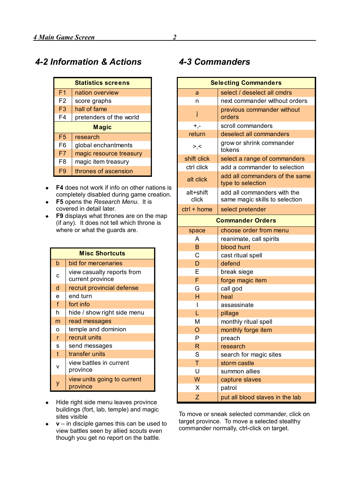<span id="page-3-1"></span>

| <b>Statistics screens</b> |                         |  |
|---------------------------|-------------------------|--|
| F <sub>1</sub>            | nation overview         |  |
| F <sub>2</sub>            | score graphs            |  |
| F <sub>3</sub>            | hall of fame            |  |
| F4                        | pretenders of the world |  |
| <b>Magic</b>              |                         |  |
| F <sub>5</sub>            | research                |  |
| F6                        | global enchantments     |  |
| F7                        | magic resource treasury |  |
| F8                        | magic item treasury     |  |
| F9                        | thrones of ascension    |  |

- ◆ **F4** does not work if info on other nations is completely disabled during game creation.
- **F5** opens the *Research Menu*. It is covered in detail later.
- **F9** displays what thrones are on the map (if any). It does not tell which throne is where or what the guards are.

| <b>Misc Shortcuts</b> |                                                |
|-----------------------|------------------------------------------------|
| b                     | bid for mercenaries                            |
| C                     | view casualty reports from<br>current province |
| d                     | recruit provincial defense                     |
| e                     | end turn                                       |
| f                     | fort info                                      |
| h                     | hide / show right side menu                    |
| m                     | read messages                                  |
| o                     | temple and dominion                            |
| r                     | recruit units                                  |
| S                     | send messages                                  |
| $\mathfrak{t}$        | transfer units                                 |
| v                     | view battles in current<br>province            |
| y                     | view units going to current<br>province        |

- $\leftarrow$  Hide right side menu leaves province buildings (fort, lab, temple) and magic sites visible
- **v** in disciple games this can be used to view battles seen by allied scouts even though you get no report on the battle.

#### <span id="page-3-0"></span>*4-3 Commanders*

| <b>Selecting Commanders</b> |                                                               |  |
|-----------------------------|---------------------------------------------------------------|--|
| a                           | select / deselect all cmdrs                                   |  |
| n                           | next commander without orders                                 |  |
| j                           | previous commander without<br>orders                          |  |
| $+, -$                      | scroll commanders                                             |  |
| return                      | deselect all commanders                                       |  |
| >,<                         | grow or shrink commander<br>tokens                            |  |
| shift click                 | select a range of commanders                                  |  |
| ctrl click                  | add a commander to selection                                  |  |
| alt click                   | add all commanders of the same<br>type to selection           |  |
| alt+shift<br>click          | add all commanders with the<br>same magic skills to selection |  |
| $ctrl + home$               | select pretender                                              |  |
|                             | <b>Commander Orders</b>                                       |  |
| space                       | choose order from menu                                        |  |
| A                           | reanimate, call spirits                                       |  |
| B                           | blood hunt                                                    |  |
| C                           | cast ritual spell                                             |  |
| D                           | defend                                                        |  |
| E                           | break siege                                                   |  |
| F                           | forge magic item                                              |  |
| G                           | call god                                                      |  |
| H                           | heal                                                          |  |
| $\mathsf{l}$                | assassinate                                                   |  |
| L                           | pillage                                                       |  |
| M                           | monthly ritual spell                                          |  |
| $\overline{O}$              | monthly forge item                                            |  |
| P                           | preach                                                        |  |
| R                           | research                                                      |  |
| S                           | search for magic sites                                        |  |
| Τ                           | storm castle                                                  |  |
| U                           | summon allies                                                 |  |
| W                           | capture slaves                                                |  |
| Χ                           | patrol                                                        |  |
| Ζ                           | put all blood slaves in the lab                               |  |

To move or sneak selected commander, click on target province. To move a selected stealthy commander normally, ctrl-click on target.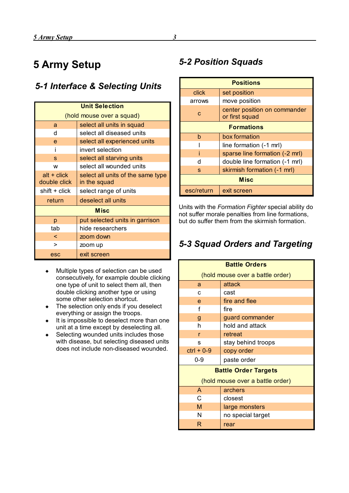# <span id="page-4-3"></span>**5 Army Setup**

#### <span id="page-4-2"></span>*5-1 Interface & Selecting Units*

| <b>Unit Selection</b> |                                   |  |
|-----------------------|-----------------------------------|--|
|                       | (hold mouse over a squad)         |  |
| a                     | select all units in squad         |  |
| d                     | select all diseased units         |  |
| e                     | select all experienced units      |  |
|                       | invert selection                  |  |
| S                     | select all starving units         |  |
| w                     | select all wounded units          |  |
| $alt + click$         | select all units of the same type |  |
| double click          | in the squad                      |  |
| $shift + click$       | select range of units             |  |
| return                | deselect all units                |  |
| <b>Misc</b>           |                                   |  |
| p                     | put selected units in garrison    |  |
| tab                   | hide researchers                  |  |
| ≺                     | zoom down                         |  |
| ↘                     | zoom up                           |  |
| esc                   | exit screen                       |  |

- Multiple types of selection can be used consecutively, for example double clicking one type of unit to select them all, then double clicking another type or using some other selection shortcut.
- The selection only ends if you deselect everything or assign the troops.
- It is impossible to deselect more than one unit at a time except by deselecting all.
- ◆ Selecting wounded units includes those with disease, but selecting diseased units does not include non-diseased wounded.

#### <span id="page-4-1"></span>*5-2 Position Squads*

| <b>Positions</b>  |                                                |  |
|-------------------|------------------------------------------------|--|
| click             | set position                                   |  |
| arrows            | move position                                  |  |
| c                 | center position on commander<br>or first squad |  |
| <b>Formations</b> |                                                |  |
| b                 | box formation                                  |  |
|                   | line formation (-1 mrl)                        |  |
|                   | sparse line formation (-2 mrl)                 |  |
| d                 | double line formation (-1 mrl)                 |  |
| S                 | skirmish formation (-1 mrl)                    |  |
| <b>Misc</b>       |                                                |  |
| esc/return        | exit screen                                    |  |

Units with the *Formation Fighter* special ability do not suffer morale penalties from line formations, but do suffer them from the skirmish formation.

#### <span id="page-4-0"></span>*5-3 Squad Orders and Targeting*

| <b>Battle Orders</b>             |                    |  |
|----------------------------------|--------------------|--|
| (hold mouse over a battle order) |                    |  |
| a                                | attack             |  |
| C                                | cast               |  |
| e                                | fire and flee      |  |
| f                                | fire               |  |
| g                                | guard commander    |  |
| h                                | hold and attack    |  |
| r                                | retreat            |  |
| S                                | stay behind troops |  |
| $ctrl + 0-9$                     | copy order         |  |
| 0-9                              | paste order        |  |
| <b>Battle Order Targets</b>      |                    |  |
| (hold mouse over a battle order) |                    |  |
| A                                | archers            |  |
| C                                | closest            |  |
| М                                | large monsters     |  |
| N                                | no special target  |  |
| R                                | rear               |  |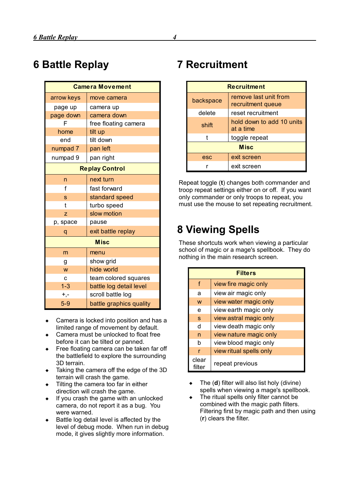# <span id="page-5-2"></span>**6 Battle Replay**

| <b>Camera Movement</b> |                         |  |
|------------------------|-------------------------|--|
| arrow keys             | move camera             |  |
| page up                | camera up               |  |
| page down              | camera down             |  |
| F                      | free floating camera    |  |
| home                   | tilt up                 |  |
| end                    | tilt down               |  |
| numpad 7               | pan left                |  |
| numpad 9               | pan right               |  |
| <b>Replay Control</b>  |                         |  |
| n                      | next turn               |  |
| f                      | fast forward            |  |
| S                      | standard speed          |  |
| t                      | turbo speed             |  |
| Z                      | slow motion             |  |
| p, space               | pause                   |  |
| q                      | exit battle replay      |  |
| <b>Misc</b>            |                         |  |
| m                      | menu                    |  |
| g                      | show grid               |  |
| W                      | hide world              |  |
| C                      | team colored squares    |  |
| $1 - 3$                | battle log detail level |  |
| $+, -$                 | scroll battle log       |  |
| $5-9$                  | battle graphics quality |  |

- Camera is locked into position and has a limited range of movement by default.
- Camera must be unlocked to float free before it can be tilted or panned.
- Free floating camera can be taken far off the battlefield to explore the surrounding 3D terrain.
- Taking the camera off the edge of the 3D terrain will crash the game.
- Tilting the camera too far in either direction will crash the game.
- If you crash the game with an unlocked camera, do not report it as a bug. You were warned.
- Battle log detail level is affected by the level of debug mode. When run in debug mode, it gives slightly more information.

## <span id="page-5-1"></span>**7 Recruitment**

| <b>Recruitment</b> |                                            |  |
|--------------------|--------------------------------------------|--|
| backspace          | remove last unit from<br>recruitment queue |  |
| delete             | reset recruitment                          |  |
| shift              | hold down to add 10 units<br>at a time     |  |
|                    | toggle repeat                              |  |
| <b>Misc</b>        |                                            |  |
| esc                | exit screen                                |  |
|                    | exit screen                                |  |

Repeat toggle (**t**) changes both commander and troop repeat settings either on or off. If you want only commander or only troops to repeat, you must use the mouse to set repeating recruitment.

# <span id="page-5-0"></span>**8 Viewing Spells**

These shortcuts work when viewing a particular school of magic or a mage's spellbook. They do nothing in the main research screen.

| <b>Filters</b>  |                         |
|-----------------|-------------------------|
| f               | view fire magic only    |
| a               | view air magic only     |
| W               | view water magic only   |
| e               | view earth magic only   |
| S               | view astral magic only  |
| d               | view death magic only   |
| n               | view nature magic only  |
| b               | view blood magic only   |
| r               | view ritual spells only |
| clear<br>filter | repeat previous         |

 The (**d**) filter will also list holy (divine) spells when viewing a mage's spellbook.

• The ritual spells only filter cannot be combined with the magic path filters. Filtering first by magic path and then using (**r**) clears the filter.